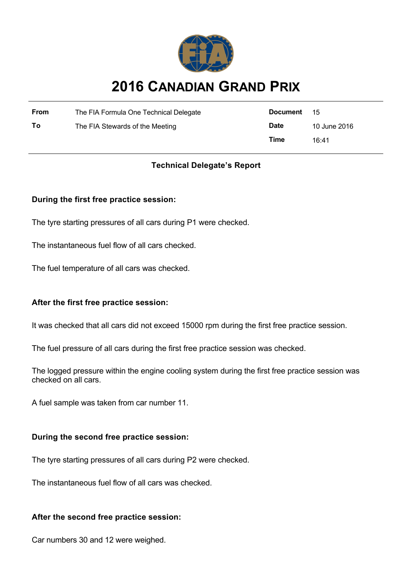

# **2016 CANADIAN GRAND PRIX**

| From | The FIA Formula One Technical Delegate | Document 15 |              |
|------|----------------------------------------|-------------|--------------|
| Τo   | The FIA Stewards of the Meeting        | <b>Date</b> | 10 June 2016 |
|      |                                        | Time        | 16:41        |

## **Technical Delegate's Report**

## **During the first free practice session:**

The tyre starting pressures of all cars during P1 were checked.

The instantaneous fuel flow of all cars checked.

The fuel temperature of all cars was checked.

## **After the first free practice session:**

It was checked that all cars did not exceed 15000 rpm during the first free practice session.

The fuel pressure of all cars during the first free practice session was checked.

The logged pressure within the engine cooling system during the first free practice session was checked on all cars.

A fuel sample was taken from car number 11.

#### **During the second free practice session:**

The tyre starting pressures of all cars during P2 were checked.

The instantaneous fuel flow of all cars was checked.

#### **After the second free practice session:**

Car numbers 30 and 12 were weighed.